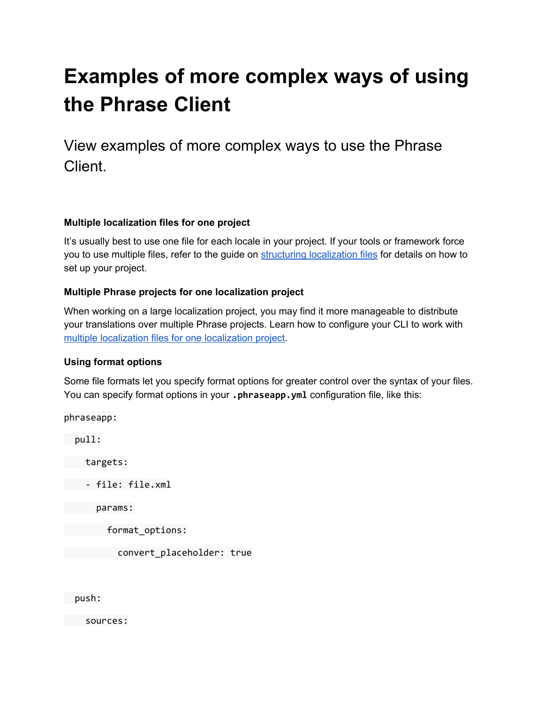# **Examples of more complex ways of using the Phrase Client**

View examples of more complex ways to use the Phrase Client.

## **Multiple localization files for one project**

It's usually best to use one file for each locale in your project. If your tools or framework force you to use multiple files, refer to the guide on structuring [localization](https://help.phrase.com/help/structuring-translations-how-to-keep-the-original-files?hsLang=en) files for details on how to set up your project.

## **Multiple Phrase projects for one localization project**

When working on a large localization project, you may find it more manageable to distribute your translations over multiple Phrase projects. Learn how to configure your CLI to work with multiple [localization](https://help.phrase.com/help/keeping-multiple-phrase-projects-for-one-localization-project?hsLang=en) files for one localization project.

#### **Using format options**

Some file formats let you specify format options for greater control over the syntax of your files. You can specify format options in your **.phraseapp.yml** configuration file, like this:

phraseapp: pull: targets: - file: file.xml params: format\_options: convert\_placeholder: true

push:

sources: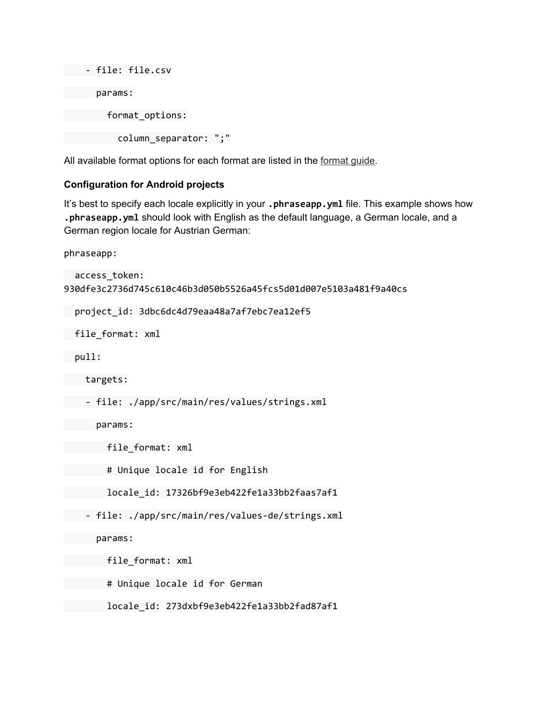```
- file: file.csv
     params:
       format_options:
         column_separator: ";"
```
All available [format](https://help.phrase.com/help/supported-platforms-and-formats?hsLang=en) options for each format are listed in the format guide.

#### **Configuration for Android projects**

It's best to specify each locale explicitly in your **.phraseapp.yml** file. This example shows how **.phraseapp.yml** should look with English as the default language, a German locale, and a German region locale for Austrian German:

phraseapp:

```
access_token:
930dfe3c2736d745c610c46b3d050b5526a45fcs5d01d007e5103a481f9a40cs
project_id: 3dbc6dc4d79eaa48a7af7ebc7ea12ef5
file_format: xml
pull:
targets:
- file: ./app/src/main/res/values/strings.xml
params:
       file_format: xml
       # Unique locale id for English
       locale_id: 17326bf9e3eb422fe1a33bb2faas7af1
- file: ./app/src/main/res/values-de/strings.xml
params:
       file_format: xml
       # Unique locale id for German
       locale_id: 273dxbf9e3eb422fe1a33bb2fad87af1
```